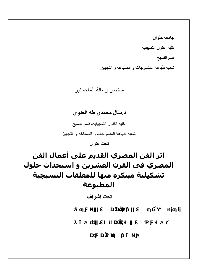جامعة حلوان كلیة الفنون التطبیقیة قسم النسیج شعبة طباعة المنسوجات و الصباغة و التجھیز

### ملخص رسالة الماجستیر

## **د.منال محمدي طھ العدوي**

كلیة الفنون التطبیقیة- قسم النسیج شعبة طباعة المنسوجات و الصباغة و التجھیز

تحت عنوان

# **أثر الفن المصري القديم على أعمال الفن المصري في القرن العشرين و استحداث حلول تشكیلیة مبتكرة منھا للمعلقات النسیجیة المطبوعة**

**تحت اشراف** 

**↓** 

**ŝƒŪƈƃŒƅŪſ ƅƒƆŮřƃŒŦœřŪŊ**

**ƐťœƌƃŒƇƆšŧƃŒťŕŵƎťƋ**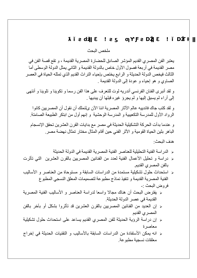یعتبر الفن المصري القدیم المؤشر الصادق للحضارة المصریة القدیمة ، و تقع قصة الفن في مصر القدیمة في أربعة فصول الأول خاص بالدولة القدیمة و الثاني یمثل الدولة الوسطى أما الثالث فیخص الدولة الحدیثة و الرابع یختص بإحیاء التراث القدیم الذي تمثلھ الحیاة في العصر الصاوي و ھو إحیاء و عودة إلى الدولة القدیمة .

و لقد أنبرى الفنان الفرنسي أندریھ لوت للتعرف على ھذا الفن رسما و تكوینا و تلوینا و أنتھى إلى أراء لم یسبق إلیھا و لم یجرؤ غیره قبلھا أن یبدیھا .

و لقد كتب جاك فاندییھ عالم الآثار المصریة اننا الآن ىلنملك أن نقول أن المصریین كانوا الرواد الأول للمدرسة التكعیبیة و المدرسة الوحشیة و إنھم أول من ابتكر الطبیعة الصامتة.

و عندما بدأت الحركة التشكیلیة الحدیثة في مصر مع بدایات القرن العشرین تحقق الإنسجام الباھر بثین الحیاة القومیة و الأثر الفني حین أقام المثال مختار تمثال نھضة مصر.

ھدف البحث:

**ŭ**∰ŭ∰ŭ∰ŭ∰ŭ∰ŭ∰ŭ∰ŭ∰ŭ∰ŭ∰ŭ∰ŭ∰ŭ∰ŭ∰ŭ∰ŭ∰ŭ∰

- الدراسة الفنیة التحلیلیة للعناصر الفنیة المصریة القدیمة في الدولة الحدیثة
- دراسة و تحلیل الأعمال الفنیة لعدد من الفنانین المصریین بالقرن العشرین التي تأثرت بالفن المصري القدیم.
- استحداث حلول تشكیلیة مستمدة من الدراسات السابقة و مستوحاة من العناصر و الأسالیب الفنیة المصریة القدیمة و تنفیذ نماذج مطبوعة لتصمیمات المعلق النسجي المطبوع فروض البحث -:
- یفترض البحث أن ھناك مجالا واسعا لدراسة العناصر و الأسالیب الفنیة المصریة القدیمة في عصر الدولة الحدیثة.
- إن العدید من الفنانین المصریین بالقرن العشرین قد تأثروا بشكل أو بآخر بالفن المصري القدیم
- إن دراسة الرؤیة الحدیثة للفن المصري القدیم یساعد على استحداث حلول تشكیلیة معاصرة
- انھ یمكن الأستفادة من الدراسات السابقة بالأسالیب و التقنیات الحدیثة في إخراج معلقات نسجیة مطبوعة.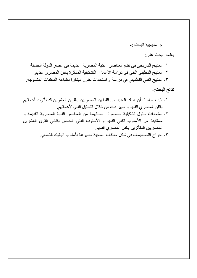منھجیة البحث -:

#### یعتمد البحث على:

-١ المنھج التاریخي في تتبع العناصر الفنیة المصریة القدیمة في عصر الدولة الحدیثة. -٢ المنھج التحلیلي الفني في دراسة الأعمال التشكیلیة المتأثرة بالفن المصري القدیم. -٣ المنھج الفني التطبیقي في دراسة و استحداث حلول مبتكرة لطباعة المعلقات المنسوجة. نتائج البحث-:

- -١ أثبت الباحث أن ھناك العدید من الفنانین المصریین بالقرن العشرین قد تأثرت أعمالھم بالفن المصري القدیم و ظھر ذلك من خلال التحلیل الفني لأعمالھم.
- -٢ استحداث حلول تشكیلیة معاصرة مستلھمة من العناصر الفنیة المصریة القدیمة و مستفیدة من الأسلوب الفني القدیم و الأسلوب الفني الخاص بفناني القرن العشرین المصریین المتأثرین بالفن المصري القدیم.
	- -٣ إخراج التصمیمات في شكل معلقات نسجیة مطبوعة بأسلوب الباتیك الشمعي.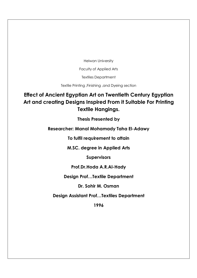Helwan University

Faculty of Applied Arts

Textiles Department

Textile Printing ,Finishing ,and Dyeing section

## **Effect of Ancient Egyptian Art on Twentieth Century Egyptian Art and creating Designs Inspired From it Suitable For Printing Textile Hangings.**

**Thesis Presented by** 

**Researcher: Manal Mohamady Taha El-Adawy**

**To fulfil requirement to attain**

**M.SC. degree in Applied Arts**

**Supervisors**

#### **Prof.Dr.Hoda A.R.Al-Hady**

**Design Prof…Textile Department**

**Dr. Sohir M. Osman**

**Design Assistant Prof…Textiles Department**

**1996**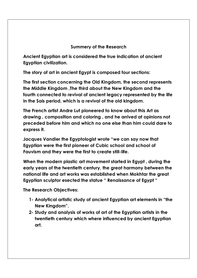#### **Summery of the Research**

**Ancient Egyptian art is considered the true indication of ancient Egyptian civilization.**

**The story of art in ancient Egypt is composed four sections:**

**The first section concerning the Old Kingdom, the second represents the Middle Kingdom ,The third about the New Kingdom and the fourth connected to revival of ancient legacy represented by the life in the Sais period, which is a revival of the old kingdom.**

**The French artist Andre Lut pioneered to know about this Art as drawing , composition and coloring , and he arrived at opinions not preceded before him and which no one else than him could dare to express it.**

**Jacques Vandier the Egyptologist wrote "we can say now that Egyptian were the first pioneer of Cubic school and school of Fauvism and they were the first to create still-life.**

**When the modern plastic art movement started in Egypt , during the early years of the twentieth century, the great harmony between the national life and art works was established when Mokhtar the great Egyptian sculptor esected the statue " Renaissance of Egypt "**

**The Research Objectives:**

- **1- Analytical artistic study of ancient Egyptian art elements in "the New Kingdom".**
- **2- Study and analysis of works of art of the Egyptian artists in the twentieth century which where influenced by ancient Egyptian art.**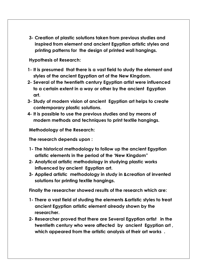**3- Creation of plastic solutions taken from previous studies and inspired from element and ancient Egyptian artistic styles and printing patterns for the design of printed wall hangings.**

**Hypothesis of Research:** 

- **1- It is presumed that there is a vast field to study the element and styles of the ancient Egyptian art of the New Kingdom.**
- **2- Several of the twentieth century Egyptian artist were influenced to a certain extent in a way or other by the ancient Egyptian art.**
- **3- Study of modern vision of ancient Egyptian art helps to create contemporary plastic solutions.**
- **4- It is possible to use the previous studies and by means of modern methods and techniques to print textile hangings.**

**Methodology of the Research:**

**The research depends upon :**

- **1- The historical methodology to follow up the ancient Egyptian artistic elements in the period of the 'New Kingdom"**
- **2- Analytical artistic methodology in studying plastic works influenced by ancient Egyptian art.**
- **3- Applied artistic methodology in study in &creation of invented solutions for printing textile hangings.**

**Finally the researcher showed results of the research which are:**

- **1- There a vast field of studing the elements &artistic styles to treat ancient Egyptian artistic element already shown by the researcher.**
- **2- Researcher proved that there are Several Egyptian artist in the twentieth century who were affected by ancient Egyptian art , which appeared from the artistic analysis of their art works .**